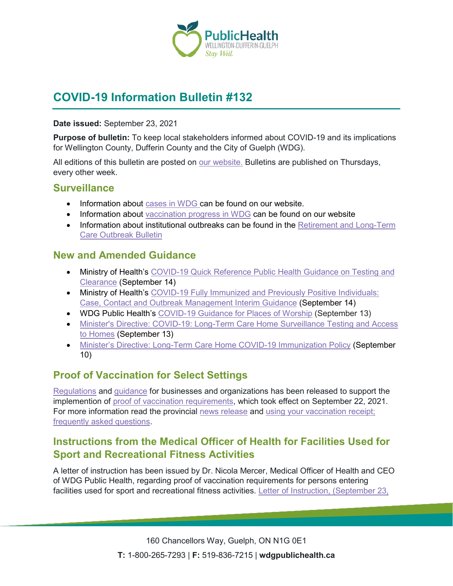

# **COVID-19 Information Bulletin #132**

#### **Date issued:** September 23, 2021

**Purpose of bulletin:** To keep local stakeholders informed about COVID-19 and its implications for Wellington County, Dufferin County and the City of Guelph (WDG).

All editions of this bulletin are posted on [our website.](https://www.wdgpublichealth.ca/your-health/covid-19-information-workplaces-and-living-spaces/community-stakeholder-bulletins) Bulletins are published on Thursdays, every other week.

### **Surveillance**

- Information about [cases in WDG](https://wdgpublichealth.ca/your-health/covid-19-information-public/status-cases-wdg) can be found on our website.
- Information about [vaccination progress](https://www.wdgpublichealth.ca/your-health/covid-19-information-public/covid-19-vaccine-information-public) in WDG can be found on our website
- Information about institutional outbreaks can be found in the Retirement and Long-Term [Care Outbreak Bulletin](https://wdgpublichealth.ca/node/1542)

### **New and Amended Guidance**

- Ministry of Health's COVID-19 Quick Reference Public Health Guidance on Testing and [Clearance](https://www.health.gov.on.ca/en/pro/programs/publichealth/coronavirus/docs/2019_testing_clearing_cases_guidance.pdf) (September 14)
- Ministry of Health's COVID-19 Fully Immunized and Previously Positive Individuals: [Case, Contact and Outbreak Management Interim Guidance](https://www.health.gov.on.ca/en/pro/programs/publichealth/coronavirus/docs/contact_mngmt/COVID-19_fully_vaccinated_interim_guidance.pdf) (September 14)
- WDG Public Health's [COVID-19 Guidance for Places of Worship](https://wdgpublichealth.ca/sites/default/files/places_of_worship_reopening_2021.pdf) (September 13)
- [Minister's Directive: COVID-19: Long-Term Care Home Surveillance Testing and Access](https://www.ontario.ca/page/covid-19-long-term-care-home-surveillance-testing)  [to Homes](https://www.ontario.ca/page/covid-19-long-term-care-home-surveillance-testing) (September 13)
- [Minister's Directive: Long-Term Care Home COVID-19 Immunization Policy](https://www.ontario.ca/page/ministers-directive-long-term-care-home-covid-19-immunization-policy) (September 10)

# **Proof of Vaccination for Select Settings**

[Regulations](https://www.ontario.ca/laws/regulation/r21645) and [guidance](https://www.health.gov.on.ca/en/pro/programs/publichealth/coronavirus/docs/guidance_proof_of_vaccination_for_businesses_and_organizations.pdf) for businesses and organizations has been released to support the implemention of [proof of vaccination requirements,](https://news.ontario.ca/en/release/1000779/ontario-to-require-proof-of-vaccination-in-select-settings) which took effect on September 22, 2021. For more information read the provincial [news release](https://news.ontario.ca/en/release/1000807/ontario-releasing-guidance-to-support-proof-of-vaccination-policy) and [using your vaccination receipt;](https://news.ontario.ca/en/backgrounder/1000806/using-your-vaccination-receipt-frequently-asked-questions) [frequently asked questions.](https://news.ontario.ca/en/backgrounder/1000806/using-your-vaccination-receipt-frequently-asked-questions)

# **Instructions from the Medical Officer of Health for Facilities Used for Sport and Recreational Fitness Activities**

A letter of instruction has been issued by Dr. Nicola Mercer, Medical Officer of Health and CEO of WDG Public Health, regarding proof of vaccination requirements for persons entering facilities used for sport and recreational fitness activities. Letter of Instruction, (September 23,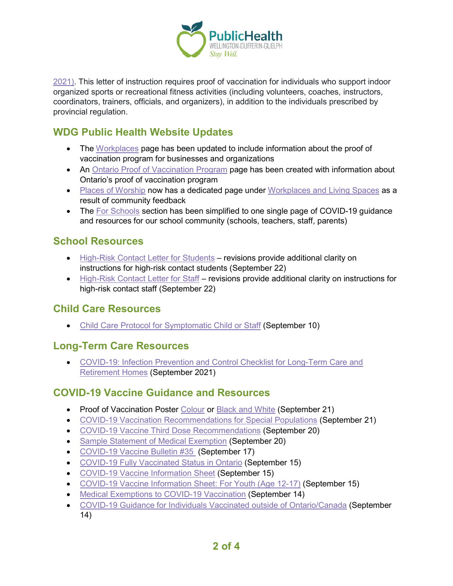

[2021\).](https://wdgpublichealth.ca/sites/default/files/wdg_public_health_-_letter_of_instruction_-_organized_sports_-_sept_23_2021_0.pdf) This letter of instruction requires proof of vaccination for individuals who support indoor organized sports or recreational fitness activities (including volunteers, coaches, instructors, coordinators, trainers, officials, and organizers), in addition to the individuals prescribed by provincial regulation.

# **WDG Public Health Website Updates**

- The [Workplaces](https://wdgpublichealth.ca/workplaces) page has been updated to include information about the proof of vaccination program for businesses and organizations
- An [Ontario Proof of Vaccination Program](https://wdgpublichealth.ca/your-health/covid-19-information-public/covid-19-vaccine-information/ontario-proof-vaccination) page has been created with information about Ontario's proof of vaccination program
- [Places of Worship](https://wdgpublichealth.ca/your-health/covid-19-information-workplaces-and-living-spaces/places-worship) now has a dedicated page under [Workplaces and Living Spaces](https://wdgpublichealth.ca/your-health/covid-19-information-workplaces-and-living-spaces/workplaces-and-businesses) as a result of community feedback
- The [For Schools](https://wdgpublichealth.ca/your-health/covid-19-information-schools-parents-and-teachers/covid-19-guidance-and-resources-our) section has been simplified to one single page of COVID-19 quidance and resources for our school community (schools, teachers, staff, parents)

# **School Resources**

- [High-Risk Contact Letter for Students](https://wdgpublichealth.ca/sites/default/files/student_hrc_letter_0.pdf) revisions provide additional clarity on instructions for high-risk contact students (September 22)
- [High-Risk Contact Letter for Staff](https://wdgpublichealth.ca/sites/default/files/staff_hrc_letter_0.pdf) revisions provide additional clarity on instructions for high-risk contact staff (September 22)

### **Child Care Resources**

• [Child Care Protocol for Symptomatic Child or Staff](https://wdgpublichealth.ca/sites/default/files/child_care_protocol_for_childrenstaff_with_covid-19_symptoms_-_september_10.pdf) (September 10)

### **Long-Term Care Resources**

• [COVID-19: Infection Prevention and Control Checklist for Long-Term Care and](https://www.publichealthontario.ca/-/media/documents/ncov/ipac/covid-19-ipack-checklist-ltcrh.pdf?sc_lang=en)  [Retirement Homes](https://www.publichealthontario.ca/-/media/documents/ncov/ipac/covid-19-ipack-checklist-ltcrh.pdf?sc_lang=en) (September 2021)

### **COVID-19 Vaccine Guidance and Resources**

- Proof of Vaccination Poster [Colour](https://www.health.gov.on.ca/en/pro/programs/publichealth/coronavirus/docs/VaccineReceipt_poster_colour_en.pdf) or [Black and White](https://www.health.gov.on.ca/en/pro/programs/publichealth/coronavirus/docs/VaccineReceipt_poster_greyscale_en.pdf) (September 21)
- [COVID-19 Vaccination Recommendations for Special Populations](https://www.health.gov.on.ca/en/pro/programs/publichealth/coronavirus/docs/vaccine/COVID-19_vaccination_rec_special_populations.pdf) (September 21)
- [COVID-19 Vaccine Third Dose Recommendations](https://www.health.gov.on.ca/en/pro/programs/publichealth/coronavirus/docs/vaccine/COVID-19_vaccine_third_dose_recommendations.pdf) (September 20)
- [Sample Statement of Medical Exemption](https://www.health.gov.on.ca/en/pro/programs/publichealth/coronavirus/docs/vaccine/COVID-19_sample_medical_exemption_template.pdf) (September 20)
- [COVID-19 Vaccine Bulletin #35](https://wdgpublichealth.ca/sites/default/files/wdgph_covid-19_vaccine_bulletin_35_sept_17_2021.pdf) (September 17)
- [COVID-19 Fully Vaccinated Status in Ontario](https://www.health.gov.on.ca/en/pro/programs/publichealth/coronavirus/docs/vaccine/COVID-19_fully_vaccinated_status_ontario.pdf) (September 15)
- [COVID-19 Vaccine Information Sheet](https://www.health.gov.on.ca/en/pro/programs/publichealth/coronavirus/docs/vaccine/COVID-19_vaccine_info_sheet.pdf) (September 15)
- [COVID-19 Vaccine Information Sheet: For Youth \(Age 12-17\)](https://www.health.gov.on.ca/en/pro/programs/publichealth/coronavirus/docs/vaccine/COVID-19_vaccine_information_sheet_youth.pdf) (September 15)
- [Medical Exemptions to COVID-19 Vaccination](https://www.health.gov.on.ca/en/pro/programs/publichealth/coronavirus/docs/vaccine/medical_exemptions_to_vaccination.pdf) (September 14)
- [COVID-19 Guidance for Individuals Vaccinated outside of Ontario/Canada](https://www.health.gov.on.ca/en/pro/programs/publichealth/coronavirus/docs/vaccine/COVID-19_guidance_for_individuals_vaccinated_outside_of_ontario.pdf) (September 14)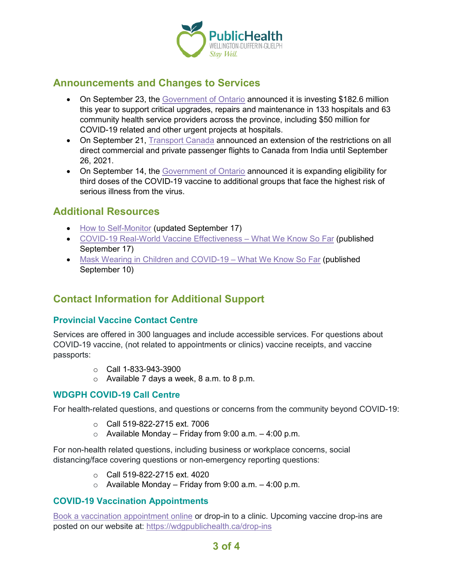

### **Announcements and Changes to Services**

- On September 23, the [Government of Ontario](https://news.ontario.ca/en/release/1000840/ontario-investing-in-health-care-infrastructure-upgrades-and-repairs) announced it is investing \$182.6 million this year to support critical upgrades, repairs and maintenance in 133 hospitals and 63 community health service providers across the province, including \$50 million for COVID-19 related and other urgent projects at hospitals.
- On September 21, [Transport Canada](https://www.canada.ca/en/transport-canada/news/2021/09/canada-announces-extension-of-flight-ban-from-india-as-it-prepares-for-the-return-of-direct-flights.html) announced an extension of the restrictions on all direct commercial and private passenger flights to Canada from India until September 26, 2021.
- On September 14, the [Government of Ontario](https://news.ontario.ca/en/backgrounder/1000805/expanded-eligibility-for-third-doses-of-the-covid-19-vaccine) announced it is expanding eligibility for third doses of the COVID-19 vaccine to additional groups that face the highest risk of serious illness from the virus.

### **Additional Resources**

- [How to Self-Monitor](https://www.publichealthontario.ca/-/media/documents/ncov/factsheet-covid-19-self-monitor.pdf?la=en&sc_lang=en&hash=8E539D05043A6775297935CEE32A8BF6) (updated September 17)
- [COVID-19 Real-World Vaccine Effectiveness –](https://www.publichealthontario.ca/-/media/documents/ncov/covid-wwksf/2021/04/wwksf-vaccine-effectiveness.pdf?sc_lang=en) What We Know So Far (published September 17)
- [Mask Wearing in Children and COVID-19 –](https://www.publichealthontario.ca/-/media/documents/ncov/covid-wwksf/2021/08/wwksf-wearing-masks-children.pdf?sc_lang=en) What We Know So Far (published September 10)

## **Contact Information for Additional Support**

#### **Provincial Vaccine Contact Centre**

Services are offered in 300 languages and include accessible services. For questions about COVID-19 vaccine, (not related to appointments or clinics) vaccine receipts, and vaccine passports:

- $\circ$  Call 1-833-943-3900
- $\circ$  Available 7 days a week, 8 a.m. to 8 p.m.

#### **WDGPH COVID-19 Call Centre**

For health-related questions, and questions or concerns from the community beyond COVID-19:

- o Call 519-822-2715 ext. 7006
- $\circ$  Available Monday Friday from 9:00 a.m. 4:00 p.m.

For non-health related questions, including business or workplace concerns, social distancing/face covering questions or non-emergency reporting questions:

- $\circ$  Call 519-822-2715 ext. 4020
- $\circ$  Available Monday Friday from 9:00 a.m. 4:00 p.m.

#### **COVID-19 Vaccination Appointments**

[Book a vaccination appointment online](https://www.wdgpublichealth.ca/appointments) or drop-in to a clinic. Upcoming vaccine drop-ins are posted on our website at:<https://wdgpublichealth.ca/drop-ins>